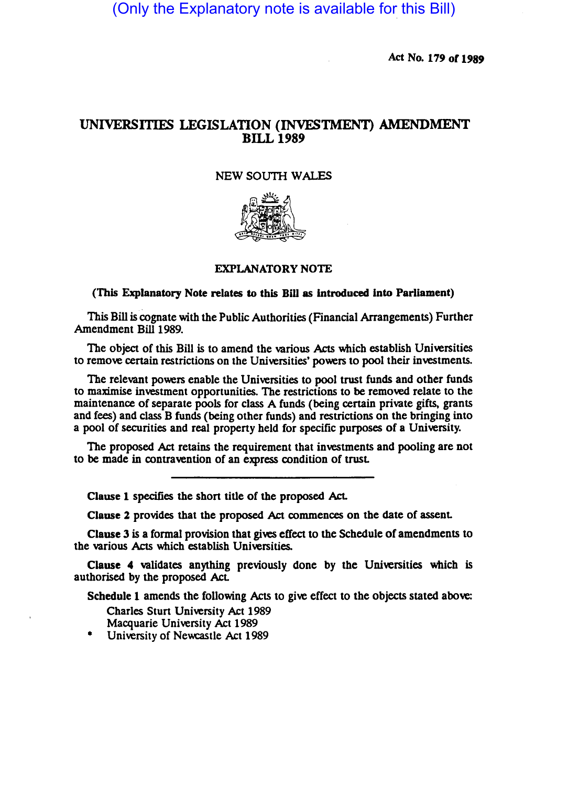(Only the Explanatory note is available for this Bill)

Act No. 179 or 1989

## UNIVERSITIES LEGISLATION (INVESTMENT) AMENDMENT BILL 1989

## NEW SOUTH WALES



## (This Explanatory Note relates to this Bill as introduced into Parliament)

This Bill is cognate with the Public Authorities (Financial Arrangements) Further Amendment Bill 1989.

The object of this Bill is to amend the various Acts which establish Universities to remove certain restrictions on the Universities' powers to pool their investments.

The relevant powers enable the Universities to pool trust funds and other funds to maximise investment opportunities. The restrictions to be removed relate to the maintenance of separate pools for class A funds (being certain private gifts, grants and fees) and class B funds (being other funds) and restrictions on the bringing into a pool of securities and real propeny held for specific purposes of a University.

The proposed Act retains the requirement that investments and pooling are not to be made in contravention of an express condition of trust.

Clause 1 specifies the short title of the proposed Act.

Clause 2 provides that the proposed Act commences on the date of assent.

Clause 3 is a formal provision that gives effect to the Schedule of amendments to the various Acts which establish Universities.

Clause 4 validates anything previously done by the Universities which is authorised by the proposed Act.

Schedule 1 amends the following Acts to give effect to the objects stated above:

Charles Sturt University Act 1989 Macquarie University Act 1989

University of Newcastle Act 1989